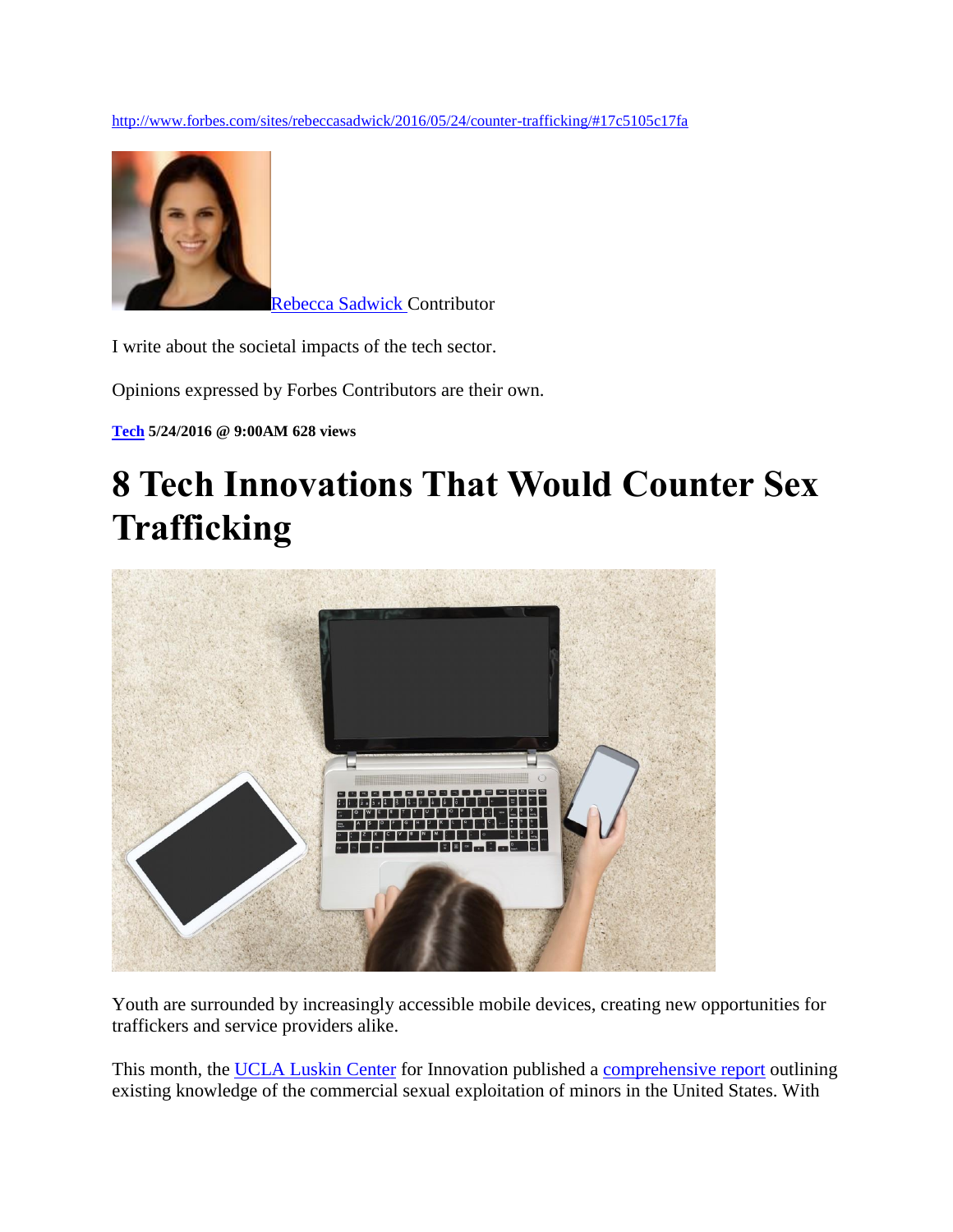<http://www.forbes.com/sites/rebeccasadwick/2016/05/24/counter-trafficking/#17c5105c17fa>



[Rebecca Sadwick C](http://www.forbes.com/sites/rebeccasadwick/)ontributor

I write about the societal impacts of the tech sector.

Opinions expressed by Forbes Contributors are their own.

**[Tech](http://www.forbes.com/technology) 5/24/2016 @ 9:00AM 628 views**

## **8 Tech Innovations That Would Counter Sex Trafficking**



Youth are surrounded by increasingly accessible mobile devices, creating new opportunities for traffickers and service providers alike.

This month, the [UCLA Luskin Center](http://innovation.luskin.ucla.edu/) for Innovation published a [comprehensive report](http://innovation.luskin.ucla.edu/content/shedding-light-sex-trafficking-research-data-and-technologies-greatest-impact) outlining existing knowledge of the commercial sexual exploitation of minors in the United States. With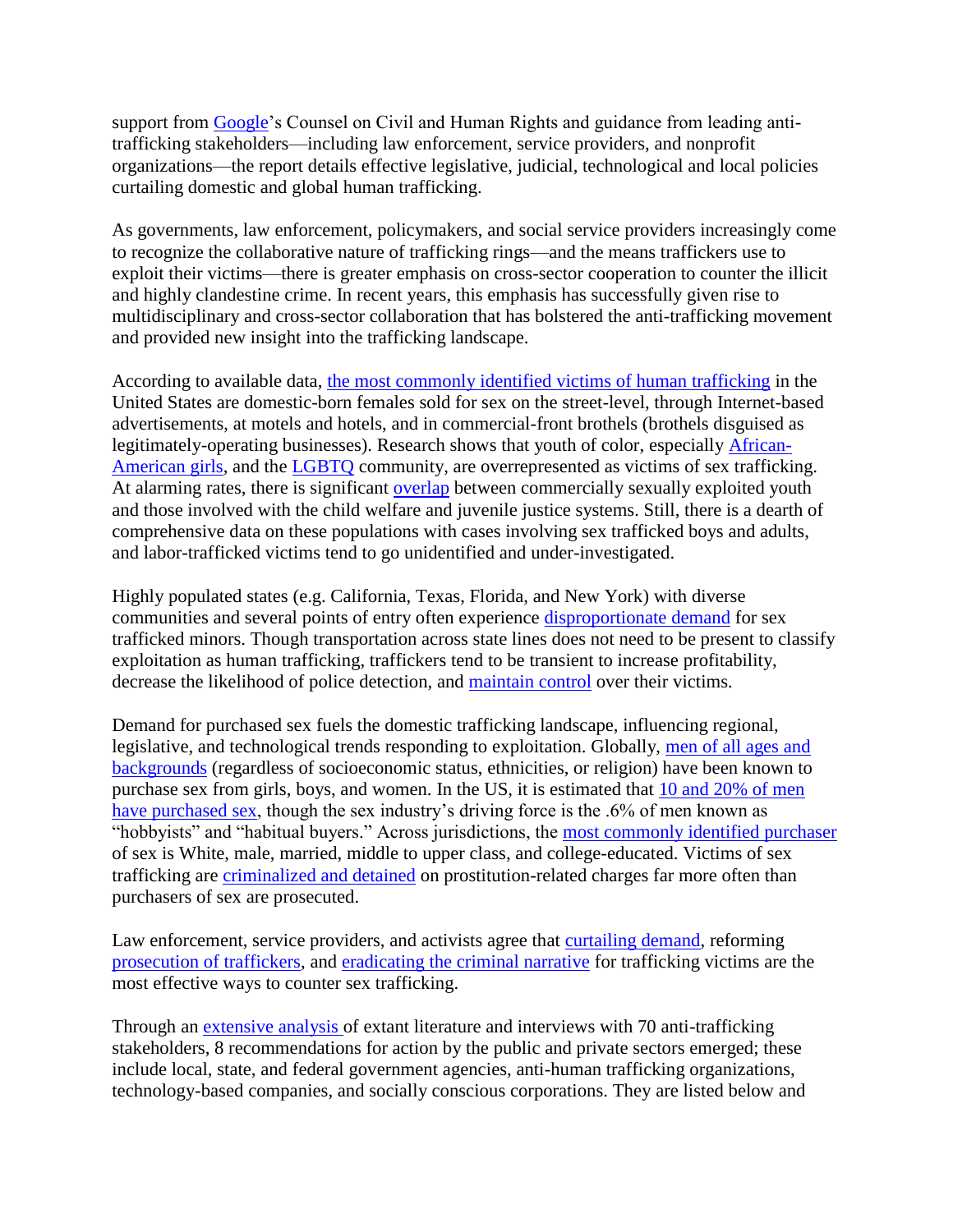support from [Google'](https://www.google.org/global-giving/global-impact-awards/polaris-project/)s Counsel on Civil and Human Rights and guidance from leading antitrafficking stakeholders—including law enforcement, service providers, and nonprofit organizations—the report details effective legislative, judicial, technological and local policies curtailing domestic and global human trafficking.

As governments, law enforcement, policymakers, and social service providers increasingly come to recognize the collaborative nature of trafficking rings—and the means traffickers use to exploit their victims—there is greater emphasis on cross-sector cooperation to counter the illicit and highly clandestine crime. In recent years, this emphasis has successfully given rise to multidisciplinary and cross-sector collaboration that has bolstered the anti-trafficking movement and provided new insight into the trafficking landscape.

According to available data, [the most commonly identified victims of human trafficking](https://traffickingresourcecenter.org/states) in the United States are domestic-born females sold for sex on the street-level, through Internet-based advertisements, at motels and hotels, and in commercial-front brothels (brothels disguised as legitimately-operating businesses). Research shows that youth of color, especially [African-](http://rights4girls.org/wp-content/uploads/r4g/2015/12/DCST-and-African-American-Girls-Fact-Sheet-Dec-2015.pdf)[American girls,](http://rights4girls.org/wp-content/uploads/r4g/2015/12/DCST-and-African-American-Girls-Fact-Sheet-Dec-2015.pdf) and the [LGBTQ](http://www.acf.hhs.gov/blog/2013/06/lgbtq-youth-at-high-risk-of-becoming-human-trafficking-victims) community, are overrepresented as victims of sex trafficking. At alarming rates, there is significant [overlap](http://stopthistraffic.org/) between commercially sexually exploited youth and those involved with the child welfare and juvenile justice systems. Still, there is a dearth of comprehensive data on these populations with cases involving sex trafficked boys and adults, and labor-trafficked victims tend to go unidentified and under-investigated.

Highly populated states (e.g. California, Texas, Florida, and New York) with diverse communities and several points of entry often experience [disproportionate demand](https://www.msudenver.edu/media/content/honorsprogram/Campbell,%20Kayleen%20%28Human%20Trafficking%20in%20the%20United%20State%29.pdf) for sex trafficked minors. Though transportation across state lines does not need to be present to classify exploitation as human trafficking, traffickers tend to be transient to increase profitability, decrease the likelihood of police detection, and [maintain control](https://traffickingresourcecenter.org/what-human-trafficking/myths-misconceptions) over their victims.

Demand for purchased sex fuels the domestic trafficking landscape, influencing regional, legislative, and technological trends responding to exploitation. Globally, [men of all ages and](http://www.urban.org/research/publication/estimating-size-and-structure-underground-commercial-sex-economy-eight-major-us-cities/view/full_report)  [backgrounds](http://www.urban.org/research/publication/estimating-size-and-structure-underground-commercial-sex-economy-eight-major-us-cities/view/full_report) (regardless of socioeconomic status, ethnicities, or religion) have been known to purchase sex from girls, boys, and women. In the US, it is estimated that [10 and 20% of men](http://www.livescience.com/28169-men-who-use-prostitutes.html)  [have purchased sex,](http://www.livescience.com/28169-men-who-use-prostitutes.html) though the sex industry's driving force is the .6% of men known as "hobbyists" and "habitual buyers." Across jurisdictions, the [most commonly identified purchaser](http://www.ncbi.nlm.nih.gov/pmc/articles/PMC3853174/) of sex is White, male, married, middle to upper class, and college-educated. Victims of sex trafficking are [criminalized and detained](http://www.cnn.com/2011/OPINION/02/05/saar.ending.girl.slavery/) on prostitution-related charges far more often than purchasers of sex are prosecuted.

Law enforcement, service providers, and activists agree that [curtailing demand,](https://www.msudenver.edu/media/content/honorsprogram/Campbell,%20Kayleen%20%28Human%20Trafficking%20in%20the%20United%20State%29.pdf) reforming [prosecution of traffickers,](https://www.ncjrs.gov/pdffiles1/nij/grants/211980.pdf) and [eradicating the criminal narrative](https://www.mccaininstitute.org/programs/humanitarian-action/the-nosuchthing-campaign) for trafficking victims are the most effective ways to counter sex trafficking.

Through an [extensive analysis o](http://innovation.luskin.ucla.edu/sites/default/files/HT%20FINAL%20REPORT%20050916.pdf)f extant literature and interviews with 70 anti-trafficking stakeholders, 8 recommendations for action by the public and private sectors emerged; these include local, state, and federal government agencies, anti-human trafficking organizations, technology-based companies, and socially conscious corporations. They are listed below and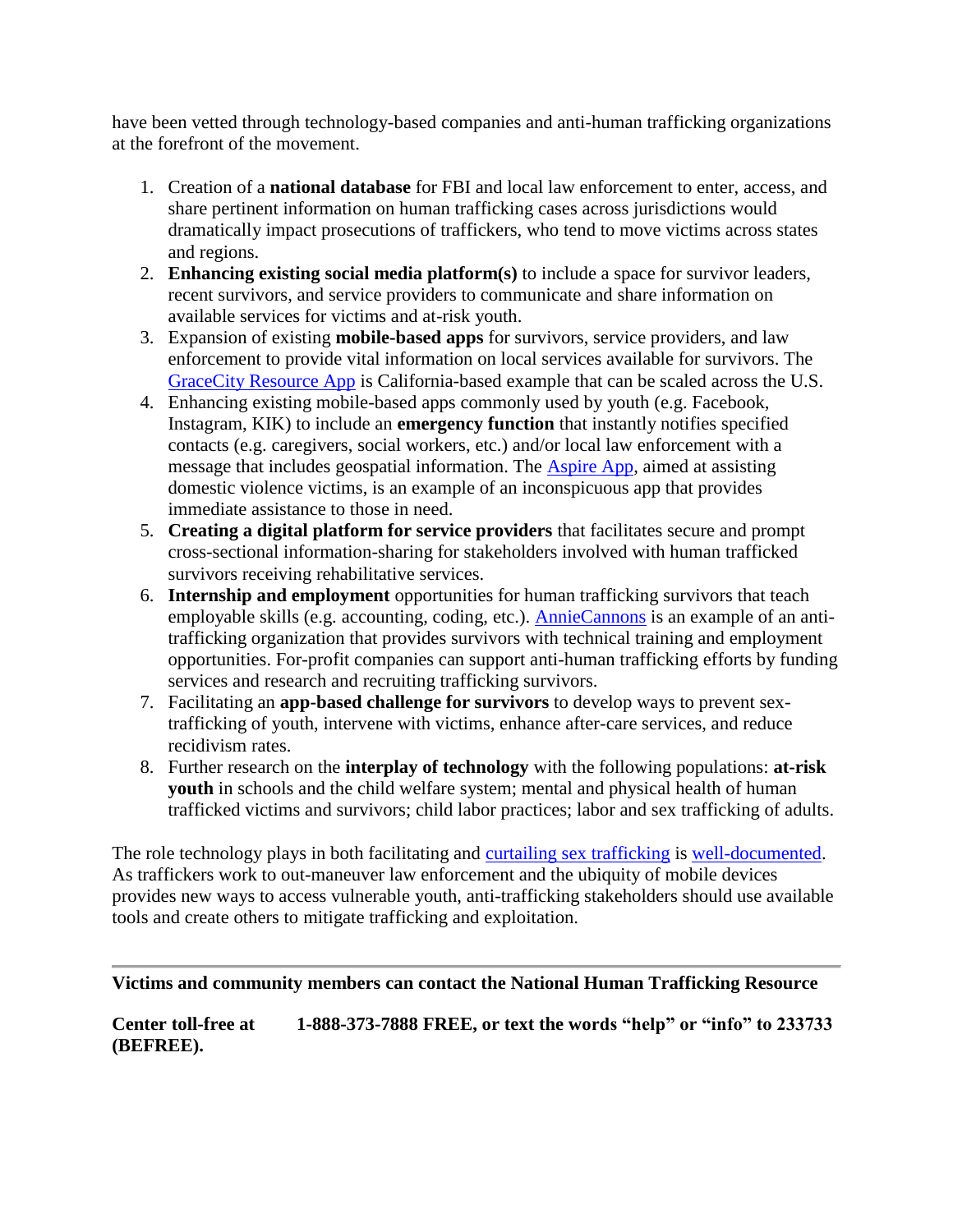have been vetted through technology-based companies and anti-human trafficking organizations at the forefront of the movement.

- 1. Creation of a **national database** for FBI and local law enforcement to enter, access, and share pertinent information on human trafficking cases across jurisdictions would dramatically impact prosecutions of traffickers, who tend to move victims across states and regions.
- 2. **Enhancing existing social media platform(s)** to include a space for survivor leaders, recent survivors, and service providers to communicate and share information on available services for victims and at-risk youth.
- 3. Expansion of existing **mobile-based apps** for survivors, service providers, and law enforcement to provide vital information on local services available for survivors. The [GraceCity Resource App](http://www.thegracenetwork.org/resource/) is California-based example that can be scaled across the U.S.
- 4. Enhancing existing mobile-based apps commonly used by youth (e.g. Facebook, Instagram, KIK) to include an **emergency function** that instantly notifies specified contacts (e.g. caregivers, social workers, etc.) and/or local law enforcement with a message that includes geospatial information. The [Aspire App,](https://play.google.com/store/apps/details?id=com.collectiveray.aspire&hl=en) aimed at assisting domestic violence victims, is an example of an inconspicuous app that provides immediate assistance to those in need.
- 5. **Creating a digital platform for service providers** that facilitates secure and prompt cross-sectional information-sharing for stakeholders involved with human trafficked survivors receiving rehabilitative services.
- 6. **Internship and employment** opportunities for human trafficking survivors that teach employable skills (e.g. accounting, coding, etc.). **AnnieCannons** is an example of an antitrafficking organization that provides survivors with technical training and employment opportunities. For-profit companies can support anti-human trafficking efforts by funding services and research and recruiting trafficking survivors.
- 7. Facilitating an **app-based challenge for survivors** to develop ways to prevent sextrafficking of youth, intervene with victims, enhance after-care services, and reduce recidivism rates.
- 8. Further research on the **interplay of technology** with the following populations: **at-risk youth** in schools and the child welfare system; mental and physical health of human trafficked victims and survivors; child labor practices; labor and sex trafficking of adults.

The role technology plays in both facilitating and [curtailing sex trafficking](http://www.forbes.com/sites/rebeccasadwick/2016/01/11/tech-fighting-human-trafficking/#449e4a7449b1) is [well-documented.](https://www.mccaininstitute.org/newsroom/current-news/technology-and-human-trafficking-friends-or-foes) As traffickers work to out-maneuver law enforcement and the ubiquity of mobile devices provides new ways to access vulnerable youth, anti-trafficking stakeholders should use available tools and create others to mitigate trafficking and exploitation.

## **Victims and community members can contact the National Human Trafficking Resource**

## **Center toll-free at 1-888-373-7888 FREE, or text the words "help" or "info" to 233733 (BEFREE).**